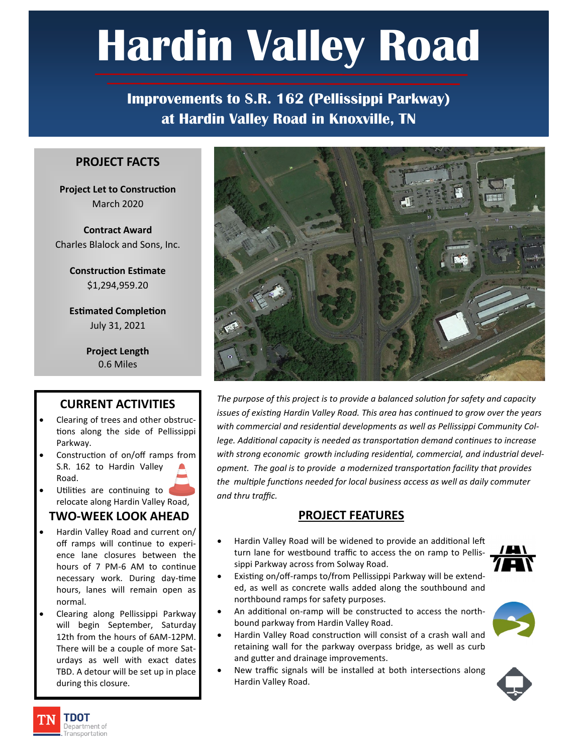# **Hardin Valley Road**

**Improvements to S.R. 162 (Pellissippi Parkway) at Hardin Valley Road in Knoxville, TN**

#### **PROJECT FACTS**

**Project Let to Construction** March 2020

**Contract Award** Charles Blalock and Sons, Inc.

> **Construction Estimate**  \$1,294,959.20

> **Estimated Completion** July 31, 2021

> > **Project Length** 0.6 Miles

## **CURRENT ACTIVITIES**

- Clearing of trees and other obstructions along the side of Pellissippi Parkway.
- Construction of on/off ramps from S.R. 162 to Hardin Valley Road.
- Utilities are continuing to relocate along Hardin Valley Road,

#### **TWO-WEEK LOOK AHEAD**

- Hardin Valley Road and current on/ off ramps will continue to experience lane closures between the hours of 7 PM-6 AM to continue necessary work. During day-time hours, lanes will remain open as normal.
- Clearing along Pellissippi Parkway will begin September, Saturday 12th from the hours of 6AM-12PM. There will be a couple of more Saturdays as well with exact dates TBD. A detour will be set up in place during this closure.



*The purpose of this project is to provide a balanced solution for safety and capacity issues of existing Hardin Valley Road. This area has continued to grow over the years with commercial and residential developments as well as Pellissippi Community College. Additional capacity is needed as transportation demand continues to increase with strong economic growth including residential, commercial, and industrial development. The goal is to provide a modernized transportation facility that provides the multiple functions needed for local business access as well as daily commuter and thru traffic.*

## **PROJECT FEATURES**

- Hardin Valley Road will be widened to provide an additional left turn lane for westbound traffic to access the on ramp to Pellissippi Parkway across from Solway Road.
- Existing on/off-ramps to/from Pellissippi Parkway will be extended, as well as concrete walls added along the southbound and northbound ramps for safety purposes.
- An additional on-ramp will be constructed to access the northbound parkway from Hardin Valley Road.
- Hardin Valley Road construction will consist of a crash wall and retaining wall for the parkway overpass bridge, as well as curb and gutter and drainage improvements.
- New traffic signals will be installed at both intersections along Hardin Valley Road.